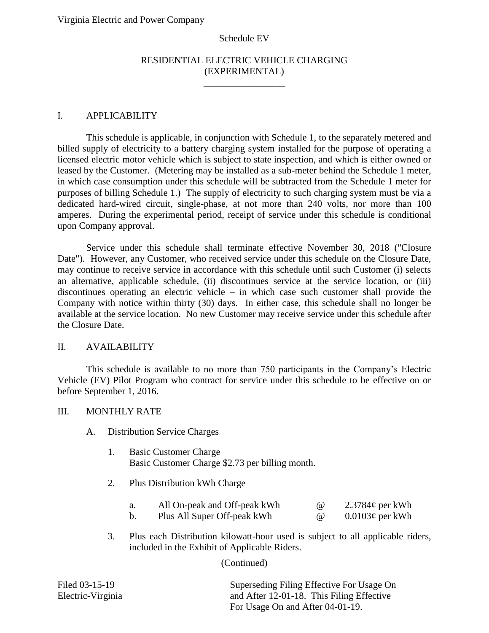#### Schedule EV

# RESIDENTIAL ELECTRIC VEHICLE CHARGING (EXPERIMENTAL)

\_\_\_\_\_\_\_\_\_\_\_\_\_\_\_\_\_

#### I. APPLICABILITY

This schedule is applicable, in conjunction with Schedule 1, to the separately metered and billed supply of electricity to a battery charging system installed for the purpose of operating a licensed electric motor vehicle which is subject to state inspection, and which is either owned or leased by the Customer. (Metering may be installed as a sub-meter behind the Schedule 1 meter, in which case consumption under this schedule will be subtracted from the Schedule 1 meter for purposes of billing Schedule 1.) The supply of electricity to such charging system must be via a dedicated hard-wired circuit, single-phase, at not more than 240 volts, nor more than 100 amperes. During the experimental period, receipt of service under this schedule is conditional upon Company approval.

Service under this schedule shall terminate effective November 30, 2018 ("Closure Date"). However, any Customer, who received service under this schedule on the Closure Date, may continue to receive service in accordance with this schedule until such Customer (i) selects an alternative, applicable schedule, (ii) discontinues service at the service location, or (iii) discontinues operating an electric vehicle – in which case such customer shall provide the Company with notice within thirty (30) days. In either case, this schedule shall no longer be available at the service location. No new Customer may receive service under this schedule after the Closure Date.

## II. AVAILABILITY

This schedule is available to no more than 750 participants in the Company's Electric Vehicle (EV) Pilot Program who contract for service under this schedule to be effective on or before September 1, 2016.

## III. MONTHLY RATE

- A. Distribution Service Charges
	- 1. Basic Customer Charge Basic Customer Charge \$2.73 per billing month.
	- 2. Plus Distribution kWh Charge

| All On-peak and Off-peak kWh | (a) | 2.3784 $\varphi$ per kWh |
|------------------------------|-----|--------------------------|
| Plus All Super Off-peak kWh  |     | $0.0103\phi$ per kWh     |

3. Plus each Distribution kilowatt-hour used is subject to all applicable riders, included in the Exhibit of Applicable Riders.

(Continued)

| Filed 03-15-19    | Superseding Filing Effective For Usage On |  |  |
|-------------------|-------------------------------------------|--|--|
| Electric-Virginia | and After 12-01-18. This Filing Effective |  |  |
|                   | For Usage On and After 04-01-19.          |  |  |